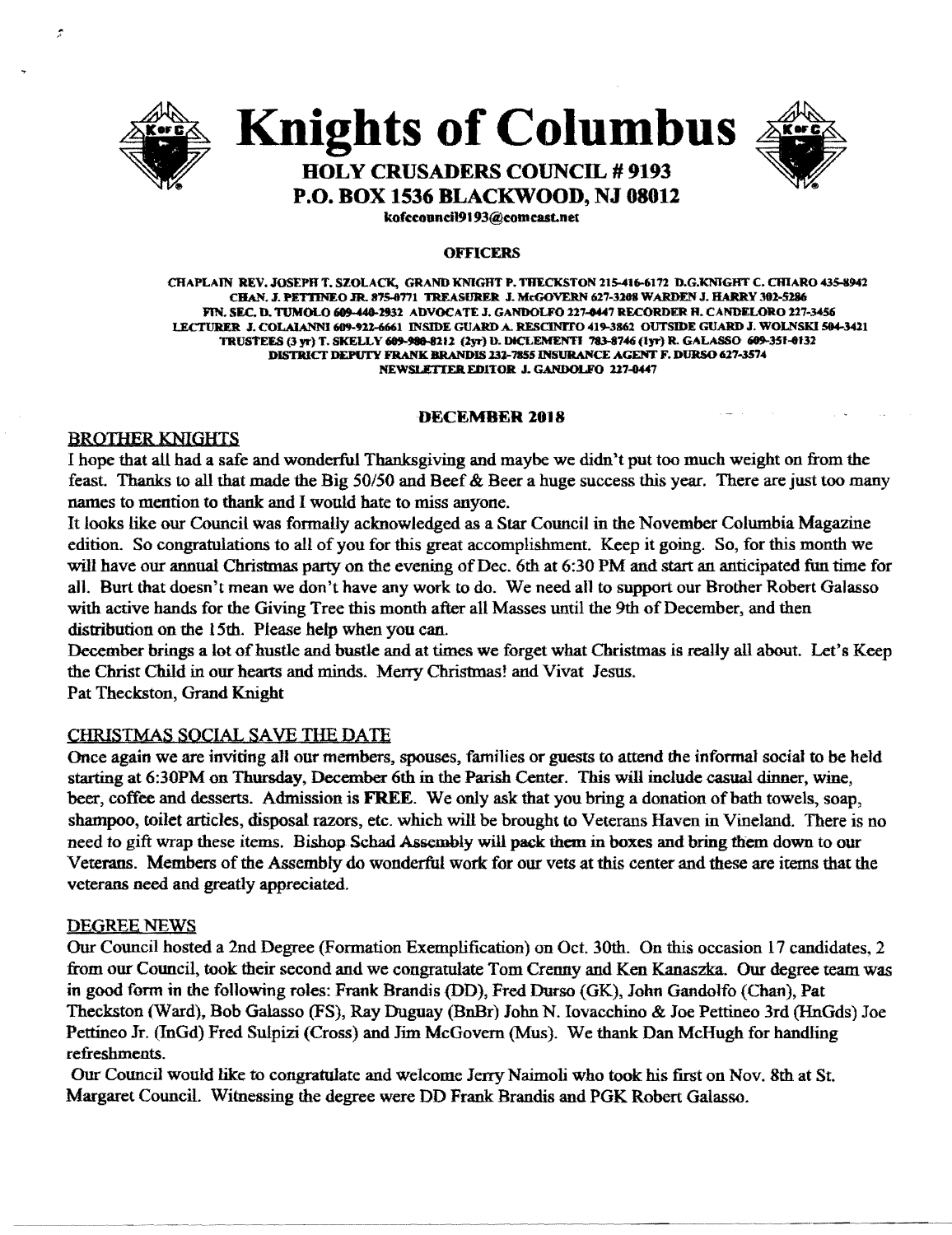

Î

### **Knights of Columbus**



### **HOLY CRUSADERS COUNCIL # 9193 P.O. BOX 1536 BLACKWOOD, NJ 08012**

kofccouncil9193@comcast.net

#### **OFFICERS**

CHAPLAIN REV. JOSEPH T. SZOLACK, GRAND KNIGHT P. THECKSTON 215-416-6172 D.G.KNIGHT C. CHIARO 435-8942 CHAN. J. PETTINEO JR. 875-8771 TREASURER J. McGOVERN 627-3208 WARDEN J. HARRY 302-5286 FIN, SEC, D. TUMOLO 609-448-2932 ADVOCATE J. GANDOLFO 227-0447 RECORDER H. CANDELORO 227-3456 LECTURER J. COLAIANNI 609-922-6661 INSIDE GUARD A. RESCINITO 419-3862 OUTSIDE GUARD J. WOLNSKI 504-3421 TRUSTEES (3 yr) T. SKELLY 609-980-8212 (2yr) D. DICLEMENTI 783-8746 (1yr) R. GALASSO 609-351-0132 DISTRICT DEPUTY FRANK BRANDIS 232-7855 INSURANCE AGENT F. DURSO 627-3574 **NEWSLETTER EDITOR J. GANDOLFO 227-0447** 

#### **DECEMBER 2018**

#### **BROTHER KNIGHTS**

I hope that all had a safe and wonderful Thanksgiving and maybe we didn't put too much weight on from the feast. Thanks to all that made the Big 50/50 and Beef & Beer a huge success this year. There are just too many names to mention to thank and I would hate to miss anyone.

It looks like our Council was formally acknowledged as a Star Council in the November Columbia Magazine edition. So congratulations to all of you for this great accomplishment. Keep it going. So, for this month we will have our annual Christmas party on the evening of Dec. 6th at 6:30 PM and start an anticipated fun time for all. Burt that doesn't mean we don't have any work to do. We need all to support our Brother Robert Galasso with active hands for the Giving Tree this month after all Masses until the 9th of December, and then distribution on the 15th. Please help when you can.

December brings a lot of hustle and bustle and at times we forget what Christmas is really all about. Let's Keep the Christ Child in our hearts and minds. Merry Christmas! and Vivat Jesus. Pat Theckston, Grand Knight

#### **CHRISTMAS SOCIAL SAVE THE DATE**

Once again we are inviting all our members, spouses, families or guests to attend the informal social to be held starting at 6:30PM on Thursday, December 6th in the Parish Center. This will include casual dinner, wine, beer, coffee and desserts. Admission is FREE. We only ask that you bring a donation of bath towels, soap, shampoo, toilet articles, disposal razors, etc. which will be brought to Veterans Haven in Vineland. There is no need to gift wrap these items. Bishop Schad Assembly will pack them in boxes and bring them down to our Veterans. Members of the Assembly do wonderful work for our vets at this center and these are items that the veterans need and greatly appreciated.

#### **DEGREE NEWS**

Our Council hosted a 2nd Degree (Formation Exemplification) on Oct. 30th. On this occasion 17 candidates, 2 from our Council, took their second and we congratulate Tom Crenny and Ken Kanaszka. Our degree team was in good form in the following roles: Frank Brandis (DD), Fred Durso (GK), John Gandolfo (Chan), Pat Theckston (Ward), Bob Galasso (FS), Ray Duguay (BnBr) John N. Iovacchino & Joe Pettineo 3rd (HnGds) Joe Pettineo Jr. (InGd) Fred Sulpizi (Cross) and Jim McGovern (Mus). We thank Dan McHugh for handling refreshments.

Our Council would like to congratulate and welcome Jerry Naimoli who took his first on Nov. 8th at St. Margaret Council. Witnessing the degree were DD Frank Brandis and PGK Robert Galasso.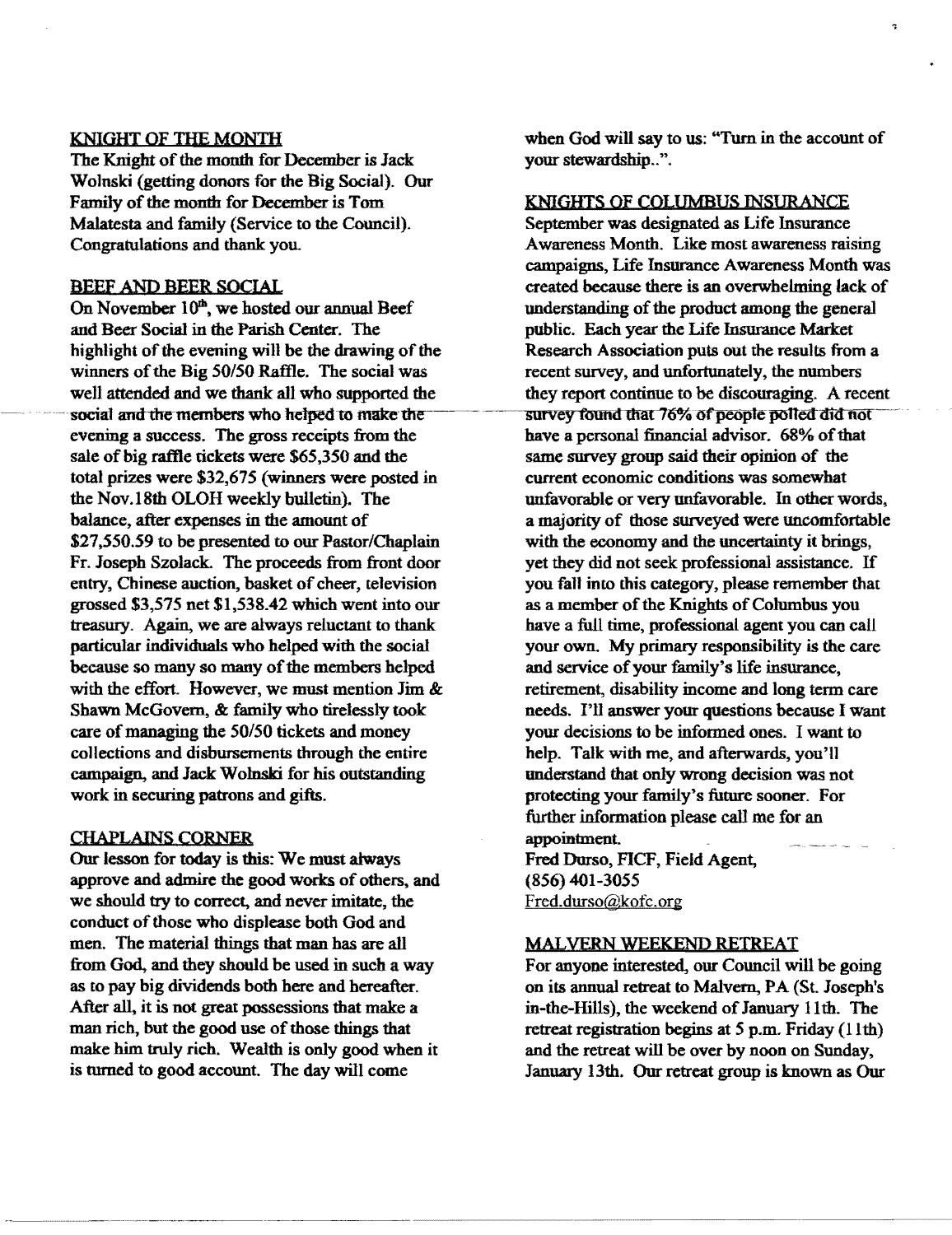#### KNIGHT OF THE MONTH

The Knight of the month for December is Jack Wolnski (getting donors for the Big Social). Our Family of the month for December is Tom Malatesta and family (Service to the Council). Congratulations and thank you.

#### BEEF AND BEER SOCIAL

On November 10<sup>th</sup>, we hosted our annual Beef and Beer Social in the Parish Center. The highlight of the evening will be the drawing of the winners of the Big 50/50 Raffle. The social was well attended and we thank all who supported the social and the members who helped to make the evening a success. The gross receipts from the sale of big raftle tickets were \$65,350 and the total prizes were \$32,675 (winners were posted in the Nov.18th OLOH weekly bulletin). The balance, after expenses in the amount of \$27,550.59 to be presented to our Pastor/Chaplain Fr. Joseph Szolack The proceeds from front door entry, Chinese auction, basket of cheer, television grossed \$3,575 net \$1,538.42 which went into our treasury. Again, we are always reluctant to thank particular individuals who helped with the social because so many so many of the members helped with the effort. However, we must mention Jim & Shawn McGovern, & family who tirelessly took care of managing the 50/50 tickets and money collections and disbursements through the entire campaign, and Jack Wolnski for his outstanding work in securing patrons and gifts.

#### CHAPLAINS CORNER

Our lesson for today is this: We must always approve and admire the good works of others, and we should try to correct, and never imitate, the conduct of those who displease both God and men. The material things that man has are all from God, and they should be used in such a way as to pay big dividends both here and hereafter. After all, it is not great possessions that make a man rich, but the good use of those things that make him truly rich. Wealth is only good when it is turned to good account. The day will come

when God will say to us: "Tum in the account of your stewardship..".

ą,

#### KNIGHTS OF COLUMBUS INSURANCE

September was designated as Life Insurance Awareness Month. Like most awareness raising campaigns, Life Insurance Awareness Month was created because there is an overwhelming lack of understanding of the product among the general public. Each year the Life Insurance Market Research Association puts out the results from a recent survey, and unfortunately, the numbers they report continue to be discouraging. A recent survey found that 76% of people polled did not have a personal financial advisor. 68% of that same survey group said their opinion of the current economic conditions was somewhat unfavorable or very unfavorable. In other words. a majority of those surveyed were uncomfortable with the economy and the uncertainty it brings, yet they did not seek professional assistance. If you fall into this category, please remember that as a member of the Knights of Columbus you have a full time, professional agent you can call your own. My primary responsibility is the care and service of your family's life insurance, retirement, disability income and long term care needs. I'll answer your questions because I want your decisions to be informed ones. I want to help. Talk with me, and afterwards, you'l1 understand that only wrong decision was not protecting your family's future sooner. For further information please call me for an appointment. Fred Durso, FICF, Field Agent, (856) 401-3055

Fred.durso@kofc.org

#### MALVERN WEEKEND RETREAT

For anyone interested, our Council will be going on its annual retreat to Malvern, PA (St. Joseph's in-the-Hills), the weekend of January 11th. The retreat registration begins at 5 p.m. Friday (11th) and the retreat will be over by noon on Sunday, January 13th. Our retreat group is known as Our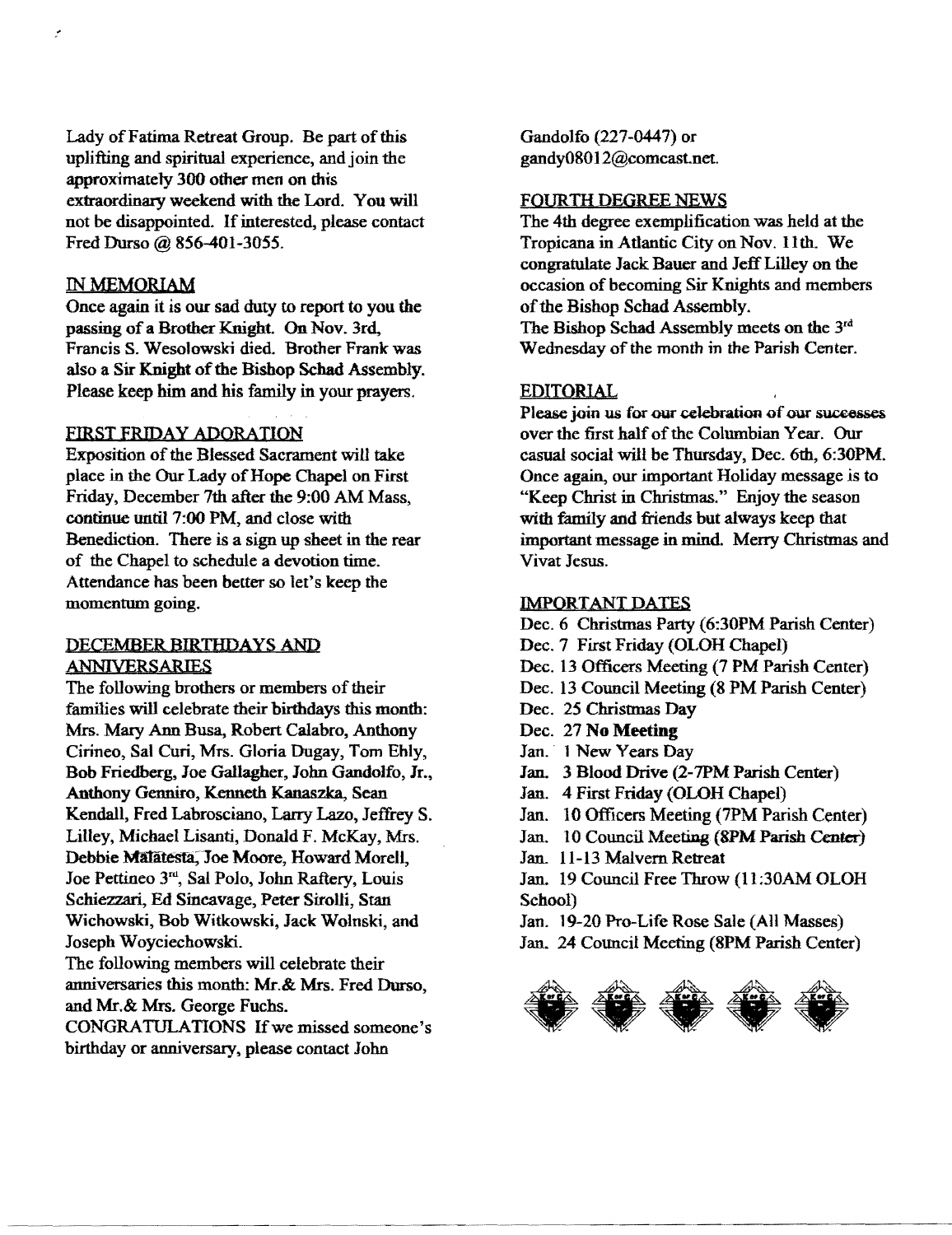Lady of Fatima Retreat Group. Be part of this uplifting and spiritual experience, and join the approximately 300 other men on this extraordinary weekend with the Lord. You will not be disappointed. If interested, please contact Fred Durso @ 856-401-3055.

#### IN MEMORIAM

Once again it is our sad duty to report to you the passing of a Brother Knight. On Nov. 3rd, Francis S. Wesolowski died. Brother Frank was also a Sir Knight of the Bishop Schad Assembly. Please keep him and his family in your prayers.

#### FIRST FRIDAY ADORATION

Exposition of the Blessed Sacrament will take place in the Our Lady of Hope Chapel on First Friday, December 7th after the 9:00 AM Mass, continue until 7:00 PM, and close with Benediction. There is a sign up sheet in the rear of the Chapel to schedule a devotion time. Attendance has been better so let's keep the momentum going.

#### DECEMBER BIRTHDAYS AND ANNIVERSARIES

The following brothers or members of their families will celebrate their birthdays this month: Mrs. Mary Ann Busa, Robert Calabro, Anthony Cirineo, Sal Curi, Mrs. Gloria Dugay, Tom Ehly, Bob Friedberg, Joe Gallagher, John Gandolfo, Jr., Anthony Genniro, Kenneth Kanaszka, Sean Kendall, Fred Labrosciano, Larry Lazo, Jeffrey S. Lilley, Michael Lisanti, Donald F. McKay, Mrs. Debbie Malatesta, Joe Moore, Howard Morell, Joe Pettineo 3<sup>rd</sup>, Sal Polo, John Raftery, Louis Schiezzari, Ed Sincavage, Peter Sirolli, Stan Wichowski, Bob Witkowski, Jack Wolnski, and Joseph Woyciechowski.

The following members will celebrate their anniversaries this month: Mr.& Mrs. Fred Durso, and Mr.& Mrs. George Fuchs.

CONGRATULATIONS Ifwe missed someone's birthday or anniversary, please contact lohn

Gandolfo (227-0447) or gandy08012@comcastnet.

#### FOURTH DEGREE NEWS

The 4th degree exemplification was held at the Tropicana in Atlantic City on Nov. 11th. We congratulate Jack Bauer and Jeff Lilley on the occasion of becoming Sir Knights and members of the Bishop Schad Assembly.

The Bishop Schad Assembly meets on the 3rd Wednesday of the month in the Parish Center.

#### EDITORIAL

Please join us for our celebration of our successes over the first half of the Columbian Year. Our casual social will be Thursday, Dec. 6th, 6:30PM. Once again, our important Holiday message is to "Keep Christ in Christmas." Enjoy the season with family and friends but always keep that important message in mind. Merry Christmas and Vivat Jesus.

#### IMPORTANT DATES

Dec. 6 Christmas Party (6:30PM Parish Center)

- Dec. 7 First Friday (OLOH Chapel)
- Dec. 13 Officers Meeting (7 PM Parish Center)
- Dec. 13 Council Meeting (8 PM Parish Center)
- Dec. 25 Christmas Day
- Dec. 27 No Meeting
- Jan. 1 New Years Day
- Jan. 3 Blood Drive (2-7PM Parish Center)
- lan. 4 First Friday (OLOH Chapel)
- Jan. 10 Officers Meeting (7PM Parish Center)
- Jan. 10 Council Meeting (8PM Parish Center)
- Jan. 11-13 Malvern Retreat

Jan. 19 Council Free Throw (11 :30AM OLOH School)

Jan. 19-20 Pro-Life Rose Sale (All Masses) Jan. 24 Council Meeting (8PM Parish Center)